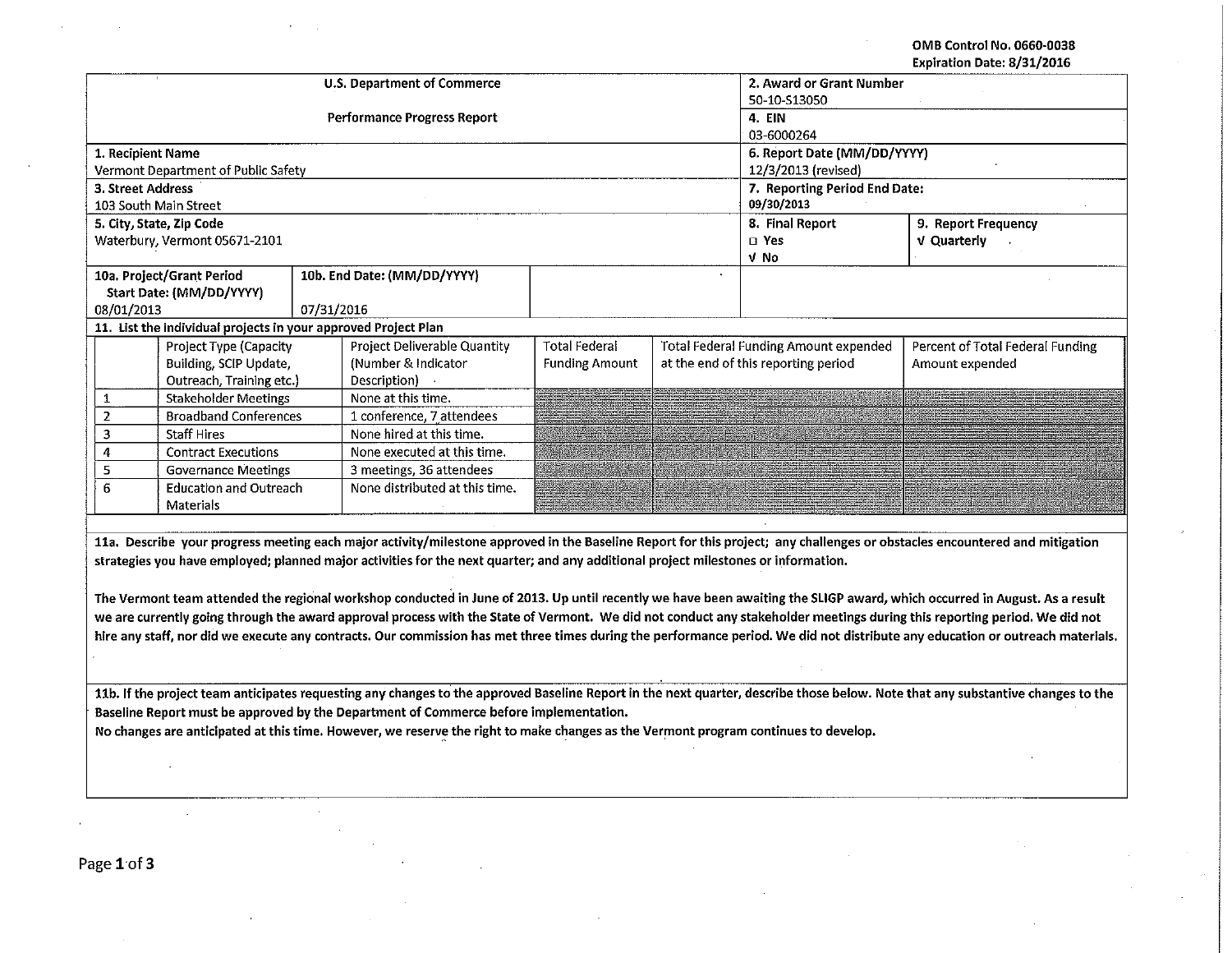## OMB Control No. 0660-0038 Expiration Date: 8/31/2016

|                                                                                                                                                                                |                                                                |            | U.S. Department of Commerce                                                                                                        | 2. Award or Grant Number      |                 |                                       |                                                                                                                                                                                 |  |  |  |
|--------------------------------------------------------------------------------------------------------------------------------------------------------------------------------|----------------------------------------------------------------|------------|------------------------------------------------------------------------------------------------------------------------------------|-------------------------------|-----------------|---------------------------------------|---------------------------------------------------------------------------------------------------------------------------------------------------------------------------------|--|--|--|
|                                                                                                                                                                                |                                                                |            | <b>Performance Progress Report</b>                                                                                                 | 50-10-S13050<br>4. EIN        |                 |                                       |                                                                                                                                                                                 |  |  |  |
|                                                                                                                                                                                |                                                                |            |                                                                                                                                    | 03-6000264                    |                 |                                       |                                                                                                                                                                                 |  |  |  |
| 1. Recipient Name                                                                                                                                                              |                                                                |            |                                                                                                                                    |                               |                 | 6. Report Date (MM/DD/YYYY)           |                                                                                                                                                                                 |  |  |  |
|                                                                                                                                                                                | Vermont Department of Public Safety                            |            |                                                                                                                                    |                               |                 | 12/3/2013 (revised)                   |                                                                                                                                                                                 |  |  |  |
| 3. Street Address                                                                                                                                                              |                                                                |            |                                                                                                                                    | 7. Reporting Period End Date: |                 |                                       |                                                                                                                                                                                 |  |  |  |
|                                                                                                                                                                                | 103 South Main Street                                          |            |                                                                                                                                    |                               | 09/30/2013      |                                       |                                                                                                                                                                                 |  |  |  |
|                                                                                                                                                                                | 5. City, State, Zip Code                                       |            |                                                                                                                                    |                               | 8. Final Report | 9. Report Frequency                   |                                                                                                                                                                                 |  |  |  |
|                                                                                                                                                                                | Waterbury, Vermont 05671-2101                                  |            |                                                                                                                                    |                               |                 | □ Yes                                 | V Quarterly                                                                                                                                                                     |  |  |  |
|                                                                                                                                                                                |                                                                |            |                                                                                                                                    |                               |                 | V No                                  |                                                                                                                                                                                 |  |  |  |
|                                                                                                                                                                                | 10a. Project/Grant Period                                      |            | 10b. End Date: (MM/DD/YYYY)                                                                                                        |                               |                 |                                       |                                                                                                                                                                                 |  |  |  |
|                                                                                                                                                                                | Start Date: (MM/DD/YYYY)                                       |            |                                                                                                                                    |                               |                 |                                       |                                                                                                                                                                                 |  |  |  |
| 08/01/2013                                                                                                                                                                     |                                                                | 07/31/2016 |                                                                                                                                    |                               |                 |                                       |                                                                                                                                                                                 |  |  |  |
|                                                                                                                                                                                | 11. List the individual projects in your approved Project Plan |            |                                                                                                                                    | <b>Total Federal</b>          |                 |                                       |                                                                                                                                                                                 |  |  |  |
|                                                                                                                                                                                | Project Type (Capacity                                         |            | Project Deliverable Quantity                                                                                                       |                               |                 | Total Federal Funding Amount expended | Percent of Total Federal Funding                                                                                                                                                |  |  |  |
|                                                                                                                                                                                | Building, SCIP Update,<br>Outreach, Training etc.)             |            | (Number & Indicator<br>Description)                                                                                                | <b>Funding Amount</b>         |                 | at the end of this reporting period   | Amount expended                                                                                                                                                                 |  |  |  |
| 1                                                                                                                                                                              | <b>Stakeholder Meetings</b>                                    |            | None at this time.                                                                                                                 |                               |                 |                                       |                                                                                                                                                                                 |  |  |  |
| $\overline{2}$                                                                                                                                                                 | <b>Broadband Conferences</b>                                   |            | 1 conference, 7 attendees                                                                                                          |                               |                 |                                       |                                                                                                                                                                                 |  |  |  |
| 3                                                                                                                                                                              | <b>Staff Hires</b>                                             |            | None hired at this time.                                                                                                           |                               |                 |                                       |                                                                                                                                                                                 |  |  |  |
| 4                                                                                                                                                                              | <b>Contract Executions</b>                                     |            | None executed at this time.                                                                                                        |                               |                 |                                       |                                                                                                                                                                                 |  |  |  |
| 5                                                                                                                                                                              | <b>Governance Meetings</b>                                     |            | 3 meetings, 36 attendees                                                                                                           |                               |                 |                                       |                                                                                                                                                                                 |  |  |  |
| 6                                                                                                                                                                              | <b>Education and Outreach</b>                                  |            | None distributed at this time.                                                                                                     |                               |                 |                                       |                                                                                                                                                                                 |  |  |  |
|                                                                                                                                                                                | Materials                                                      |            |                                                                                                                                    |                               |                 |                                       |                                                                                                                                                                                 |  |  |  |
|                                                                                                                                                                                |                                                                |            |                                                                                                                                    |                               |                 |                                       |                                                                                                                                                                                 |  |  |  |
|                                                                                                                                                                                |                                                                |            |                                                                                                                                    |                               |                 |                                       | 11a. Describe your progress meeting each major activity/milestone approved in the Baseline Report for this project; any challenges or obstacles encountered and mitigation      |  |  |  |
|                                                                                                                                                                                |                                                                |            | strategies you have employed; planned major activities for the next quarter; and any additional project milestones or information. |                               |                 |                                       |                                                                                                                                                                                 |  |  |  |
|                                                                                                                                                                                |                                                                |            |                                                                                                                                    |                               |                 |                                       |                                                                                                                                                                                 |  |  |  |
|                                                                                                                                                                                |                                                                |            |                                                                                                                                    |                               |                 |                                       | The Vermont team attended the regional workshop conducted in June of 2013. Up until recently we have been awaiting the SLIGP award, which occurred in August. As a result       |  |  |  |
| we are currently going through the award approval process with the State of Vermont. We did not conduct any stakeholder meetings during this reporting period. We did not      |                                                                |            |                                                                                                                                    |                               |                 |                                       |                                                                                                                                                                                 |  |  |  |
| hire any staff, nor did we execute any contracts. Our commission has met three times during the performance period. We did not distribute any education or outreach materials. |                                                                |            |                                                                                                                                    |                               |                 |                                       |                                                                                                                                                                                 |  |  |  |
|                                                                                                                                                                                |                                                                |            |                                                                                                                                    |                               |                 |                                       |                                                                                                                                                                                 |  |  |  |
|                                                                                                                                                                                |                                                                |            |                                                                                                                                    |                               |                 |                                       |                                                                                                                                                                                 |  |  |  |
|                                                                                                                                                                                |                                                                |            |                                                                                                                                    |                               |                 |                                       | 11b. If the project team anticipates requesting any changes to the approved Baseline Report in the next quarter, describe those below. Note that any substantive changes to the |  |  |  |
|                                                                                                                                                                                |                                                                |            | Baseline Report must be approved by the Department of Commerce before implementation.                                              |                               |                 |                                       |                                                                                                                                                                                 |  |  |  |
| No changes are anticipated at this time. However, we reserve the right to make changes as the Vermont program continues to develop.                                            |                                                                |            |                                                                                                                                    |                               |                 |                                       |                                                                                                                                                                                 |  |  |  |
|                                                                                                                                                                                |                                                                |            |                                                                                                                                    |                               |                 |                                       |                                                                                                                                                                                 |  |  |  |
|                                                                                                                                                                                |                                                                |            |                                                                                                                                    |                               |                 |                                       |                                                                                                                                                                                 |  |  |  |
|                                                                                                                                                                                |                                                                |            |                                                                                                                                    |                               |                 |                                       |                                                                                                                                                                                 |  |  |  |
|                                                                                                                                                                                |                                                                |            |                                                                                                                                    |                               |                 |                                       |                                                                                                                                                                                 |  |  |  |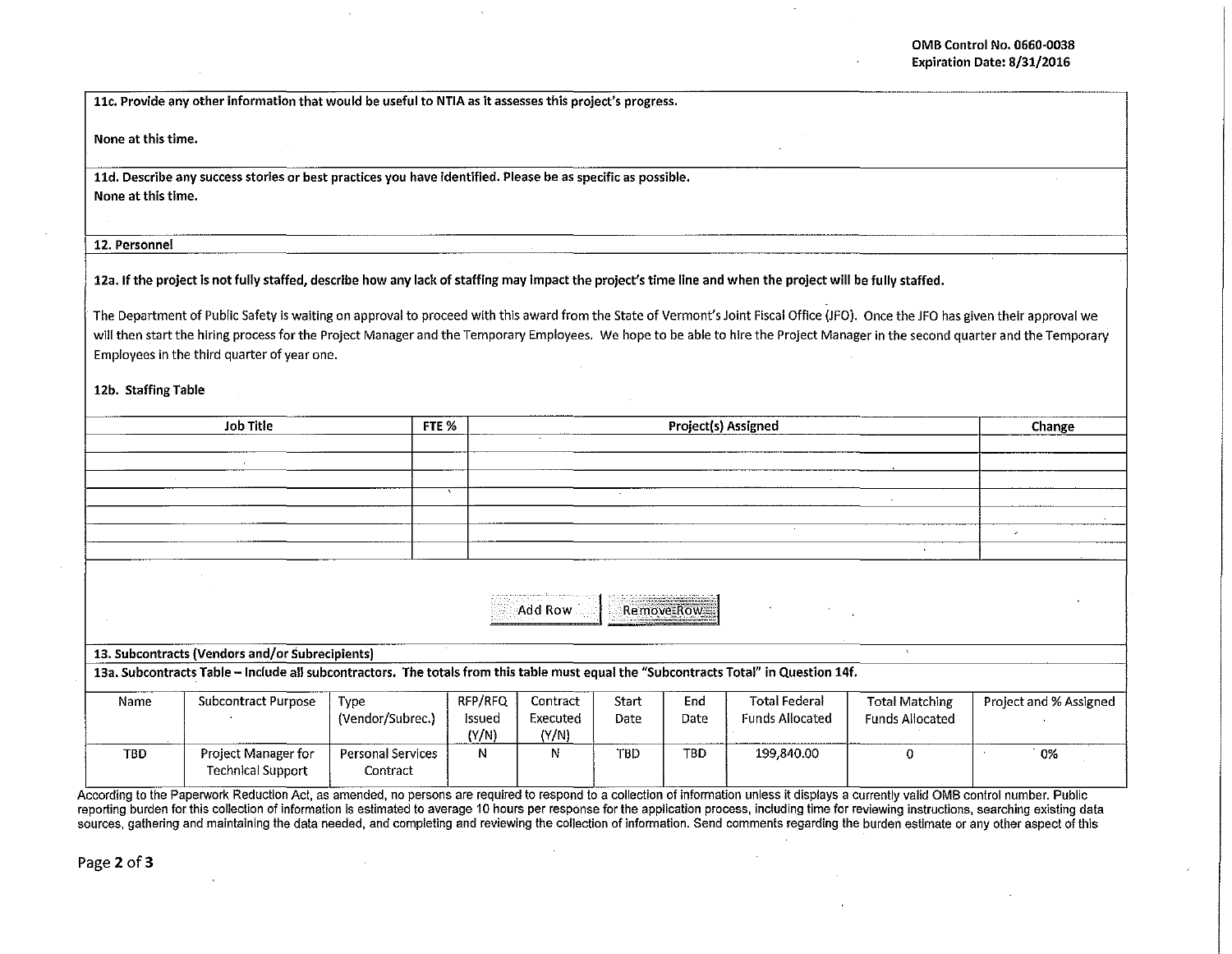llc. Provide any other information that would be useful to NTIA as it assesses this project's progress.

None at this time.

lld. Describe any success stories or best practices you have identified. Please be as specific as possible. None at this time.

## 12. Personnel

12a. If the project is not fully staffed, describe how any lack of staffing may impact the project's time line and when the project will be fully staffed.

The Department of Public Safety is waiting on approval to proceed with this award from the State of Vermont's Joint Fiscal Office (JFO). Once the JFO has given their approval we will then start the hiring process for the Project Manager and the Temporary Employees. We hope to be able to hire the Project Manager in the second quarter and the Temporary Employees in the third quarter of year one.

12b. Staffing Table

|                                                                                                                                       | <b>Job Title</b>                                | FTE %             |              |          |       | Project(s) Assigned |                        |                        | Change                   |  |
|---------------------------------------------------------------------------------------------------------------------------------------|-------------------------------------------------|-------------------|--------------|----------|-------|---------------------|------------------------|------------------------|--------------------------|--|
|                                                                                                                                       |                                                 |                   |              |          |       |                     |                        |                        |                          |  |
|                                                                                                                                       |                                                 |                   |              |          |       |                     |                        |                        |                          |  |
|                                                                                                                                       |                                                 |                   | $\mathbf{A}$ |          |       |                     |                        |                        |                          |  |
|                                                                                                                                       |                                                 |                   |              |          |       |                     |                        |                        |                          |  |
|                                                                                                                                       |                                                 |                   |              |          |       |                     |                        |                        |                          |  |
|                                                                                                                                       |                                                 |                   |              |          |       |                     |                        |                        | $\overline{\phantom{a}}$ |  |
|                                                                                                                                       |                                                 |                   |              |          |       |                     |                        |                        |                          |  |
|                                                                                                                                       |                                                 |                   |              |          |       |                     |                        |                        |                          |  |
|                                                                                                                                       |                                                 |                   |              |          |       |                     |                        |                        |                          |  |
|                                                                                                                                       |                                                 |                   |              | Add Row  |       | Remove Row          |                        |                        |                          |  |
|                                                                                                                                       |                                                 |                   |              |          |       |                     |                        |                        |                          |  |
|                                                                                                                                       | 13. Subcontracts (Vendors and/or Subrecipients) |                   |              |          |       |                     |                        |                        |                          |  |
| 13a. Subcontracts Table - Include all subcontractors. The totals from this table must equal the "Subcontracts Total" in Question 14f. |                                                 |                   |              |          |       |                     |                        |                        |                          |  |
|                                                                                                                                       |                                                 |                   |              |          |       |                     |                        |                        |                          |  |
| Name                                                                                                                                  | Subcontract Purpose                             | Type              | RFP/RFQ      | Contract | Start | End                 | <b>Total Federal</b>   | <b>Total Matching</b>  | Project and % Assigned   |  |
|                                                                                                                                       |                                                 | (Vendor/Subrec.)  | Issued       | Executed | Date  | Date                | <b>Funds Allocated</b> | <b>Funds Allocated</b> |                          |  |
|                                                                                                                                       |                                                 |                   | (Y/N)        | (Y/N)    |       |                     |                        |                        |                          |  |
| <b>TBD</b>                                                                                                                            | Project Manager for                             | Personal Services | Ν            | N        | TBD   | TBD                 | 199,840.00             | 0                      | 0%                       |  |
|                                                                                                                                       | <b>Technical Support</b>                        | Contract          |              |          |       |                     |                        |                        |                          |  |
|                                                                                                                                       |                                                 |                   |              |          |       |                     |                        |                        |                          |  |

According to the Paperwork Reduction Act, as amended, no persons are required to respond to a collection of information unless it displays a currently valid OMB control number. Public reporting burden for this collection of information is estimated to average 10 hours per response for the application process, including time for reviewing instructions, searching existing data sources, gathering and maintaining the data needed, and completing and reviewing the collection of information. Send comments regarding the burden estimate or any other aspect of this

Page 2 of 3